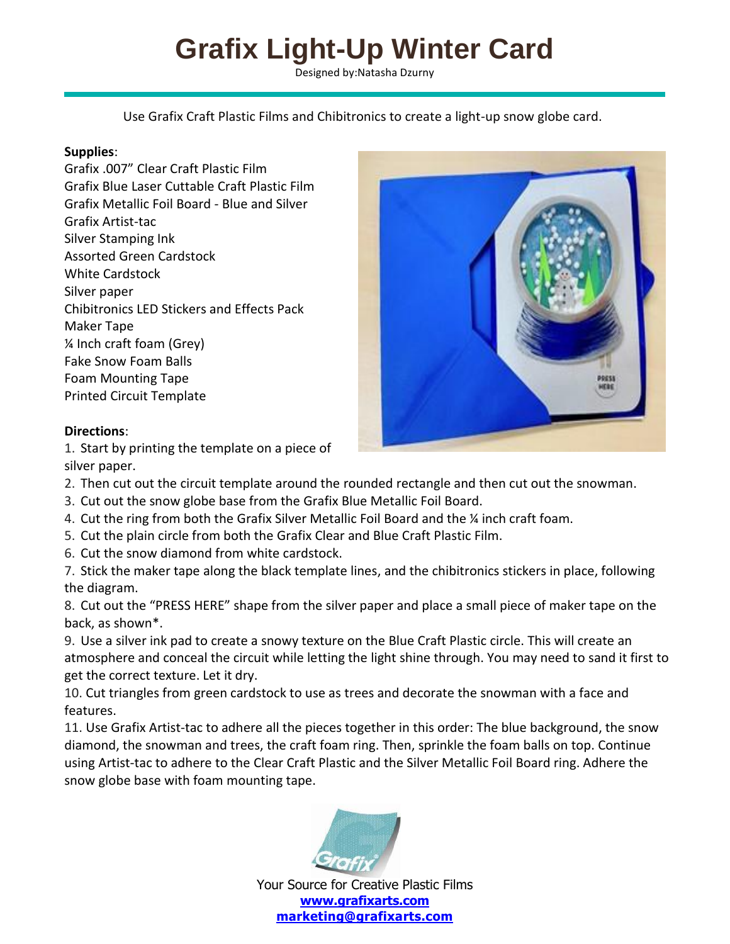## **Grafix Light-Up Winter Card**

Designed by:Natasha Dzurny

Use Grafix Craft Plastic Films and Chibitronics to create a light-up snow globe card.

## **Supplies**:

Grafix .007" Clear Craft Plastic Film Grafix Blue Laser Cuttable Craft Plastic Film Grafix Metallic Foil Board - Blue and Silver Grafix Artist-tac Silver Stamping Ink Assorted Green Cardstock White Cardstock Silver paper Chibitronics LED Stickers and Effects Pack Maker Tape ¼ Inch craft foam (Grey) Fake Snow Foam Balls Foam Mounting Tape Printed Circuit Template



## **Directions**:

1. Start by printing the template on a piece of silver paper.

- 2. Then cut out the circuit template around the rounded rectangle and then cut out the snowman.
- 3. Cut out the snow globe base from the Grafix Blue Metallic Foil Board.
- 4. Cut the ring from both the Grafix Silver Metallic Foil Board and the ¼ inch craft foam.
- 5. Cut the plain circle from both the Grafix Clear and Blue Craft Plastic Film.
- 6. Cut the snow diamond from white cardstock.

7. Stick the maker tape along the black template lines, and the chibitronics stickers in place, following the diagram.

8. Cut out the "PRESS HERE" shape from the silver paper and place a small piece of maker tape on the back, as shown\*.

9. Use a silver ink pad to create a snowy texture on the Blue Craft Plastic circle. This will create an atmosphere and conceal the circuit while letting the light shine through. You may need to sand it first to get the correct texture. Let it dry.

10. Cut triangles from green cardstock to use as trees and decorate the snowman with a face and features.

11. Use Grafix Artist-tac to adhere all the pieces together in this order: The blue background, the snow diamond, the snowman and trees, the craft foam ring. Then, sprinkle the foam balls on top. Continue using Artist-tac to adhere to the Clear Craft Plastic and the Silver Metallic Foil Board ring. Adhere the snow globe base with foam mounting tape.



Your Source for Creative Plastic Films **[www.grafixarts.com](http://www.grafixarts.com/) [marketing@grafixarts.com](mailto:marketing@grafixarts.com)**